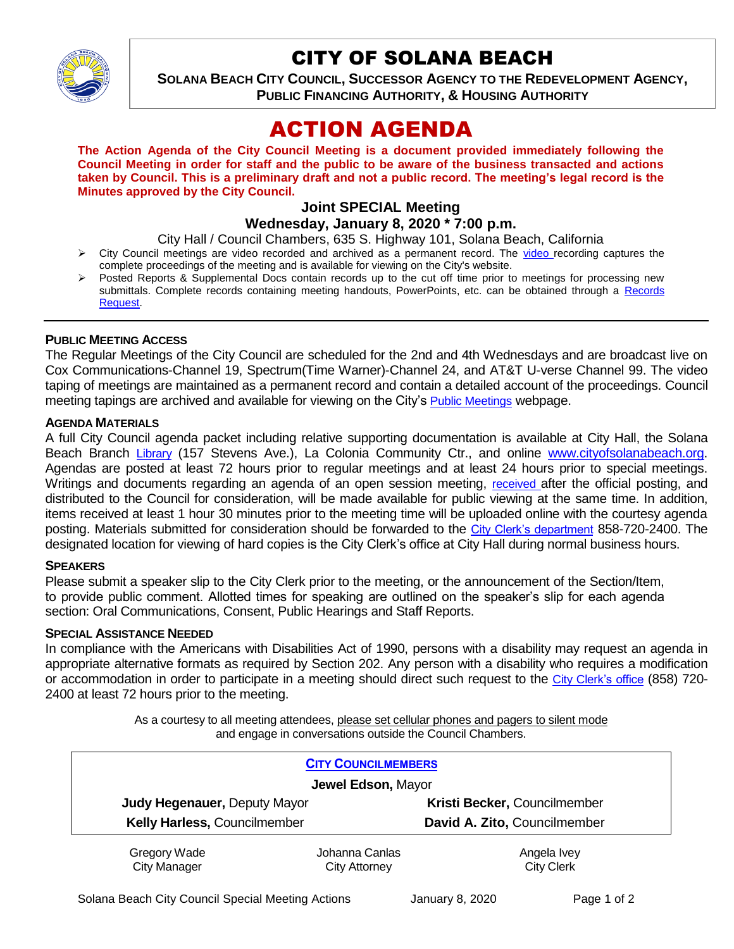

# CITY OF SOLANA BEACH

**SOLANA BEACH CITY COUNCIL, SUCCESSOR AGENCY TO THE REDEVELOPMENT AGENCY, PUBLIC FINANCING AUTHORITY, & HOUSING AUTHORITY** 

# ACTION AGENDA

**The Action Agenda of the City Council Meeting is a document provided immediately following the Council Meeting in order for staff and the public to be aware of the business transacted and actions taken by Council. This is a preliminary draft and not a public record. The meeting's legal record is the Minutes approved by the City Council.**

# **Joint SPECIAL Meeting**

**Wednesday, January 8, 2020 \* 7:00 p.m.** 

City Hall / Council Chambers, 635 S. Highway 101, Solana Beach, California

- $\triangleright$  City Council meetings are [video r](https://solanabeach.12milesout.com/#page=1)ecorded and archived as a permanent record. The video recording captures the complete proceedings of the meeting and is available for viewing on the City's website.
- Posted Reports & Supplemental Docs contain records up to the cut off time prior to meetings for processing new submittals. Complete records containing meeting handouts, PowerPoints, etc. can be obtained through a Records [Request.](http://www.ci.solana-beach.ca.us/index.asp?SEC=F5D45D10-70CE-4291-A27C-7BD633FC6742&Type=B_BASIC)

## **PUBLIC MEETING ACCESS**

The Regular Meetings of the City Council are scheduled for the 2nd and 4th Wednesdays and are broadcast live on Cox Communications-Channel 19, Spectrum(Time Warner)-Channel 24, and AT&T U-verse Channel 99. The video taping of meetings are maintained as a permanent record and contain a detailed account of the proceedings. Council meeting tapings are archived and available for viewing on the City's [Public Meetings](https://www.ci.solana-beach.ca.us/index.asp?SEC=F0F1200D-21C6-4A88-8AE1-0BC07C1A81A7&Type=B_BASIC) webpage.

## **AGENDA MATERIALS**

A full City Council agenda packet including relative supporting documentation is available at City Hall, the Solana Beach Branch [Library](http://www.sdcl.org/locations_SB.html) (157 Stevens Ave.), La Colonia Community Ctr., and online [www.cityofsolanabeach.org.](http://www.cityofsolanabeach.org/) Agendas are posted at least 72 hours prior to regular meetings and at least 24 hours prior to special meetings. Writings and documents regarding an agenda of an open session meeting, [received](mailto:EMAILGRP-CityClerksOfc@cosb.org) after the official posting, and distributed to the Council for consideration, will be made available for public viewing at the same time. In addition, items received at least 1 hour 30 minutes prior to the meeting time will be uploaded online with the courtesy agenda posting. Materials submitted for consideration should be forwarded to the [City Clerk's department](mailto:EMAILGRP-CityClerksOfc@cosb.org) 858-720-2400. The designated location for viewing of hard copies is the City Clerk's office at City Hall during normal business hours.

## **SPEAKERS**

Please submit a speaker slip to the City Clerk prior to the meeting, or the announcement of the Section/Item, to provide public comment. Allotted times for speaking are outlined on the speaker's slip for each agenda section: Oral Communications, Consent, Public Hearings and Staff Reports.

#### **SPECIAL ASSISTANCE NEEDED**

In compliance with the Americans with Disabilities Act of 1990, persons with a disability may request an agenda in appropriate alternative formats as required by Section 202. Any person with a disability who requires a modification or accommodation in order to participate in a meeting should direct such request to the [City Clerk's office](mailto:clerkadmin@cosb.org?subject=City%20Clerk%20Notice%20of%20Special%20Services%20Needed) (858) 720- 2400 at least 72 hours prior to the meeting.

> As a courtesy to all meeting attendees, please set cellular phones and pagers to silent mode and engage in conversations outside the Council Chambers.

|                                     | <b>CITY COUNCILMEMBERS</b>             |                                  |
|-------------------------------------|----------------------------------------|----------------------------------|
| Jewel Edson, Mayor                  |                                        |                                  |
| <b>Judy Hegenauer, Deputy Mayor</b> |                                        | Kristi Becker, Councilmember     |
| Kelly Harless, Councilmember        |                                        | David A. Zito, Councilmember     |
| Gregory Wade<br><b>City Manager</b> | Johanna Canlas<br><b>City Attorney</b> | Angela Ivey<br><b>City Clerk</b> |